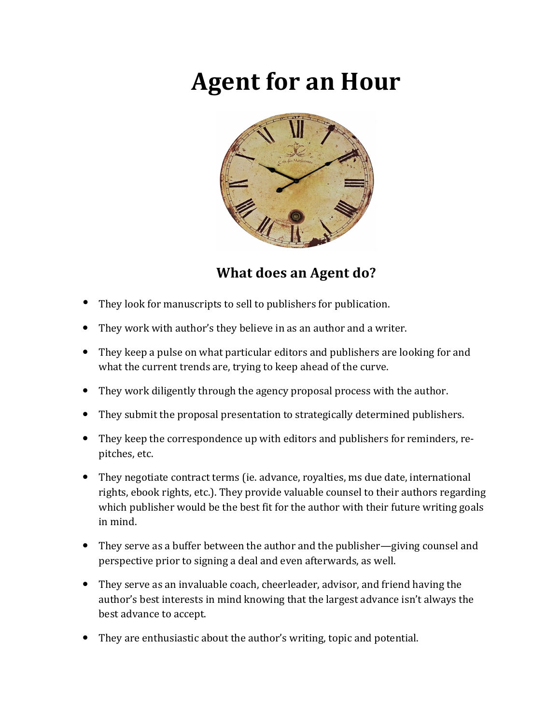# **Agent for an Hour**



# **What does an Agent do?**

- They look for manuscripts to sell to publishers for publication.
- They work with author's they believe in as an author and a writer.
- They keep a pulse on what particular editors and publishers are looking for and what the current trends are, trying to keep ahead of the curve.
- They work diligently through the agency proposal process with the author.
- They submit the proposal presentation to strategically determined publishers.
- They keep the correspondence up with editors and publishers for reminders, repitches, etc.
- They negotiate contract terms (ie. advance, royalties, ms due date, international rights, ebook rights, etc.). They provide valuable counsel to their authors regarding which publisher would be the best fit for the author with their future writing goals in mind.
- They serve as a buffer between the author and the publisher—giving counsel and perspective prior to signing a deal and even afterwards, as well.
- They serve as an invaluable coach, cheerleader, advisor, and friend having the author's best interests in mind knowing that the largest advance isn't always the best advance to accept.
- They are enthusiastic about the author's writing, topic and potential.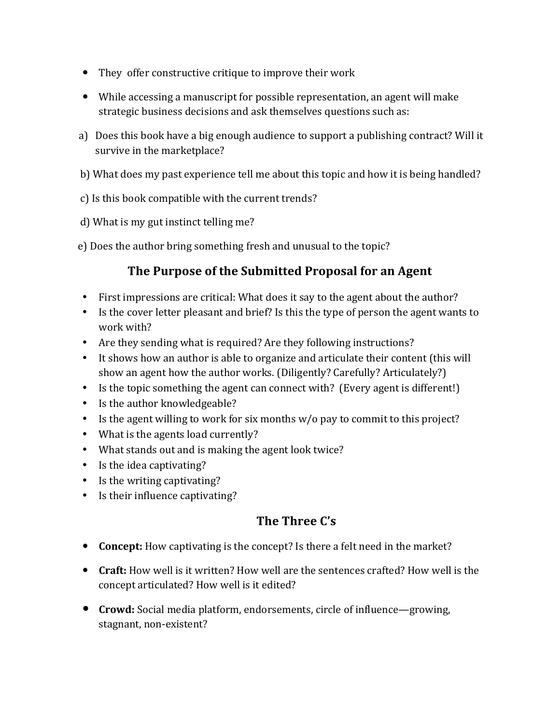- They offer constructive critique to improve their work
- While accessing a manuscript for possible representation, an agent will make strategic business decisions and ask themselves questions such as:
- a) Does this book have a big enough audience to support a publishing contract? Will it survive in the marketplace?
- b) What does my past experience tell me about this topic and how it is being handled?
- c) Is this book compatible with the current trends?
- d) What is my gut instinct telling me?
- e) Does the author bring something fresh and unusual to the topic?

# **The Purpose of the Submitted Proposal for an Agent**

- First impressions are critical: What does it say to the agent about the author?
- Is the cover letter pleasant and brief? Is this the type of person the agent wants to work with?
- Are they sending what is required? Are they following instructions?
- It shows how an author is able to organize and articulate their content (this will show an agent how the author works. (Diligently? Carefully? Articulately?)
- Is the topic something the agent can connect with? (Every agent is different!)
- $\bullet$  Is the author knowledgeable?
- Is the agent willing to work for six months  $w/o$  pay to commit to this project?
- What is the agents load currently?
- What stands out and is making the agent look twice?
- Is the idea captivating?
- $\bullet$  Is the writing captivating?
- Is their influence captivating?

# **The Three C's**

- Concept: How captivating is the concept? Is there a felt need in the market?
- Craft: How well is it written? How well are the sentences crafted? How well is the concept articulated? How well is it edited?
- **Crowd:** Social media platform, endorsements, circle of influence—growing, stagnant, non-existent?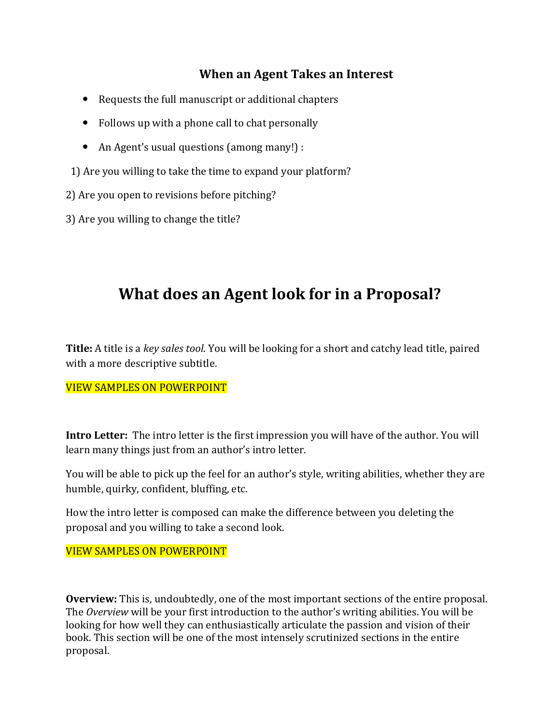# **When an Agent Takes an Interest**

- Requests the full manuscript or additional chapters
- $\bullet$  Follows up with a phone call to chat personally
- An Agent's usual questions (among many!) :

1) Are you willing to take the time to expand your platform?

- 2) Are you open to revisions before pitching?
- 3) Are you willing to change the title?

# **What does an Agent look for in a Proposal?**

**Title:** A title is a *key sales tool*. You will be looking for a short and catchy lead title, paired with a more descriptive subtitle.

#### **VIEW SAMPLES ON POWERPOINT**

**Intro Letter:** The intro letter is the first impression you will have of the author. You will learn many things just from an author's intro letter.

You will be able to pick up the feel for an author's style, writing abilities, whether they are humble, quirky, confident, bluffing, etc.

How the intro letter is composed can make the difference between you deleting the proposal and you willing to take a second look.

### **VIEW SAMPLES ON POWERPOINT**

**Overview:** This is, undoubtedly, one of the most important sections of the entire proposal. The *Overview* will be your first introduction to the author's writing abilities. You will be looking for how well they can enthusiastically articulate the passion and vision of their book. This section will be one of the most intensely scrutinized sections in the entire proposal.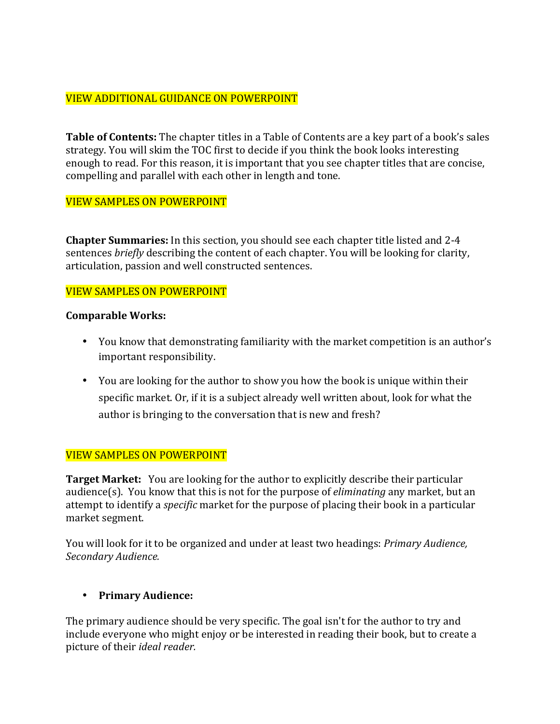## VIEW ADDITIONAL GUIDANCE ON POWERPOINT

**Table of Contents:** The chapter titles in a Table of Contents are a key part of a book's sales strategy. You will skim the TOC first to decide if you think the book looks interesting enough to read. For this reason, it is important that you see chapter titles that are concise, compelling and parallel with each other in length and tone.

#### VIEW SAMPLES ON POWERPOINT

**Chapter Summaries:** In this section, you should see each chapter title listed and 2-4 sentences *briefly* describing the content of each chapter. You will be looking for clarity, articulation, passion and well constructed sentences.

#### **VIEW SAMPLES ON POWERPOINT**

#### **Comparable Works:**

- You know that demonstrating familiarity with the market competition is an author's important responsibility.
- You are looking for the author to show you how the book is unique within their specific market. Or, if it is a subject already well written about, look for what the author is bringing to the conversation that is new and fresh?

#### VIEW SAMPLES ON POWERPOINT

**Target Market:** You are looking for the author to explicitly describe their particular audience(s). You know that this is not for the purpose of *eliminating* any market, but an attempt to identify a *specific* market for the purpose of placing their book in a particular market segment.

You will look for it to be organized and under at least two headings: *Primary Audience, Secondary Audience.*

#### • **Primary Audience:**

The primary audience should be very specific. The goal isn't for the author to try and include everyone who might enjoy or be interested in reading their book, but to create a picture of their *ideal reader.*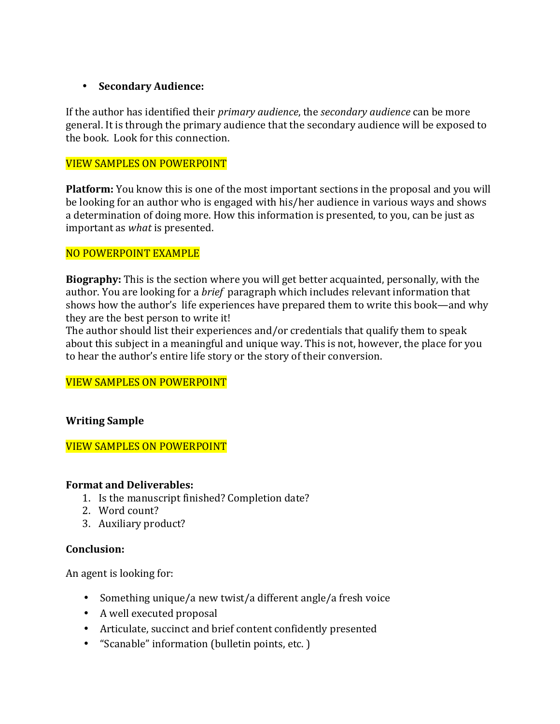#### • **Secondary Audience:**

If the author has identified their *primary audience*, the *secondary audience* can be more general. It is through the primary audience that the secondary audience will be exposed to the book. Look for this connection.

#### VIEW SAMPLES ON POWERPOINT

**Platform:** You know this is one of the most important sections in the proposal and you will be looking for an author who is engaged with his/her audience in various ways and shows a determination of doing more. How this information is presented, to you, can be just as important as *what* is presented. 

#### NO POWERPOINT EXAMPLE

**Biography:** This is the section where you will get better acquainted, personally, with the author. You are looking for a *brief* paragraph which includes relevant information that shows how the author's life experiences have prepared them to write this book—and why they are the best person to write it! 

The author should list their experiences and/or credentials that qualify them to speak about this subject in a meaningful and unique way. This is not, however, the place for you to hear the author's entire life story or the story of their conversion.

#### VIEW SAMPLES ON POWERPOINT

#### **Writing Sample**

#### VIEW SAMPLES ON POWERPOINT

#### **Format and Deliverables:**

- 1. Is the manuscript finished? Completion date?
- 2. Word count?
- 3. Auxiliary product?

#### **Conclusion:**

An agent is looking for:

- Something unique/a new twist/a different angle/a fresh voice
- A well executed proposal
- Articulate, succinct and brief content confidently presented
- "Scanable" information (bulletin points, etc.)